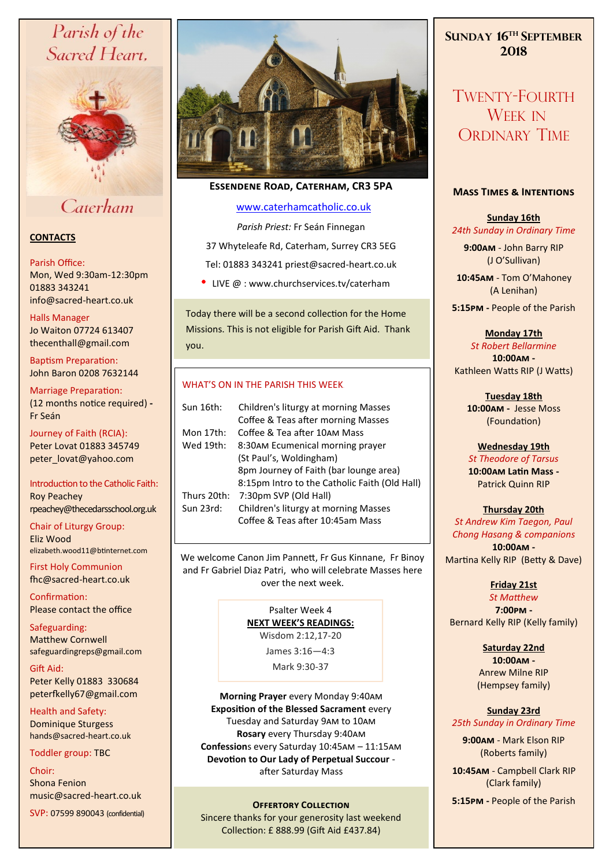# Parish of the Sacred Heart,



# Caterham

# **CONTACTS**

#### Parish Office:

Mon, Wed 9:30am-12:30pm 01883 343241 info@sacred-heart.co.uk .

#### Halls Manager

Jo Waiton 07724 613407 thecenthall@gmail.com

Baptism Preparation: John Baron 0208 7632144

Marriage Preparation: (12 months notice required) **-** Fr Seán

Journey of Faith (RCIA): Peter Lovat 01883 345749 peter\_lovat@yahoo.com

Introduction to the Catholic Faith: Roy Peachey rpeachey@thecedarsschool.org.uk

Chair of Liturgy Group: Eliz Wood elizabeth.wood11@btinternet.com

First Holy Communion fhc@sacred-heart.co.uk

Confirmation: Please contact the office

Safeguarding: Matthew Cornwell safeguardingreps@gmail.com

Gift Aid: Peter Kelly 01883 330684 peterfkelly67@gmail.com

Health and Safety: Dominique Sturgess hands@sacred-heart.co.uk

Toddler group: TBC

Choir: Shona Fenion music@sacred-heart.co.uk

SVP: 07599 890043 (confidential)



# **Essendene Road, Caterham, CR3 5PA**

# [www.caterhamcatholic.co.uk](http://Www.caterhamcatholic.co.uk)

*Parish Priest:* Fr Seán Finnegan 37 Whyteleafe Rd, Caterham, Surrey CR3 5EG Tel: 01883 343241 priest@sacred-heart.co.uk

• LIVE @ : www.churchservices.tv/caterham

Today there will be a second collection for the Home Missions. This is not eligible for Parish Gift Aid. Thank you.

# WHAT'S ON IN THE PARISH THIS WEEK.

| Sun 16th:   | Children's liturgy at morning Masses          |
|-------------|-----------------------------------------------|
|             | Coffee & Teas after morning Masses            |
| Mon 17th:   | Coffee & Tea after 10AM Mass                  |
| Wed 19th:   | 8:30AM Ecumenical morning prayer              |
|             | (St Paul's, Woldingham)                       |
|             | 8pm Journey of Faith (bar lounge area)        |
|             | 8:15pm Intro to the Catholic Faith (Old Hall) |
| Thurs 20th: | 7:30pm SVP (Old Hall)                         |
| Sun 23rd:   | Children's liturgy at morning Masses          |
|             | Coffee & Teas after 10:45am Mass              |
|             |                                               |

We welcome Canon Jim Pannett, Fr Gus Kinnane, Fr Binoy and Fr Gabriel Diaz Patri, who will celebrate Masses here over the next week.

### Psalter Week 4 **NEXT WEEK'S READINGS:**  Wisdom 2:12,17-20

James 3:16—4:3

Mark 9:30-37

**Morning Prayer** every Monday 9:40am **Exposition of the Blessed Sacrament** every Tuesday and Saturday 9am to 10am **Rosary** every Thursday 9:40am **Confession**s every Saturday 10:45am – 11:15am **Devotion to Our Lady of Perpetual Succour**  after Saturday Mass

Sincere thanks for your generosity last weekend Collection: £ 888.99 (Gift Aid £437.84)

# **SUNDAY 16TH SEPTEMBER 2018**

TWENTY-FOURTH WEEK IN ORDINARY TIME

## **Mass Times & Intentions**

# **Sunday 16th** *24th Sunday in Ordinary Time*

**9:00am** - John Barry RIP (J O'Sullivan)

.**10:45am** - Tom O'Mahoney (A Lenihan)

**5:15pm -** People of the Parish

**Monday 17th**

*St Robert Bellarmine* **10:00am -**  Kathleen Watts RIP (J Watts)

> **Tuesday 18th 10:00am -** Jesse Moss (Foundation)

#### **Wednesday 19th** *St Theodore of Tarsus*

**10:00am Latin Mass -** Patrick Quinn RIP

**Thursday 20th**  *St Andrew Kim Taegon, Paul Chong Hasang & companions* **10:00am -**  Martina Kelly RIP (Betty & Dave)

**Friday 21st** 

*St Matthew* **7:00pm -** Bernard Kelly RIP (Kelly family)

> **Saturday 22nd 10:00am -**  Anrew Milne RIP (Hempsey family)

## **Sunday 23rd** *25th Sunday in Ordinary Time*

**9:00am** - Mark Elson RIP (Roberts family)

.**10:45am** - Campbell Clark RIP (Clark family)

**S:15PM - People of the Parish COLLECTION**